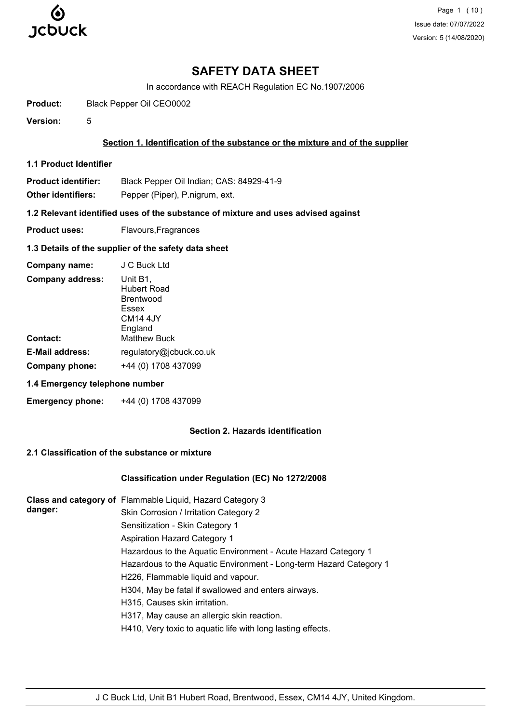

Page 1 (10) Issue date: 07/07/2022 Version: 5 (14/08/2020)

# **SAFETY DATA SHEET**

In accordance with REACH Regulation EC No.1907/2006

**Product:** Black Pepper Oil CEO0002

**Version:** 5

# **Section 1. Identification of the substance or the mixture and of the supplier**

**1.1 Product Identifier**

**Product identifier:** Black Pepper Oil Indian; CAS: 84929-41-9

**Other identifiers:** Pepper (Piper), P.nigrum, ext.

**1.2 Relevant identified uses of the substance of mixture and uses advised against**

**Product uses:** Flavours, Fragrances

# **1.3 Details of the supplier of the safety data sheet**

| Company name:           | J C Buck Ltd                                                                |
|-------------------------|-----------------------------------------------------------------------------|
| <b>Company address:</b> | Unit B1,<br>Hubert Road<br><b>Brentwood</b><br>Essex<br>CM14 4JY<br>England |
| <b>Contact:</b>         | <b>Matthew Buck</b>                                                         |
| <b>E-Mail address:</b>  | regulatory@jcbuck.co.uk                                                     |
| Company phone:          | +44 (0) 1708 437099                                                         |

# **1.4 Emergency telephone number**

**Emergency phone:** +44 (0) 1708 437099

# **Section 2. Hazards identification**

# **2.1 Classification of the substance or mixture**

# **Classification under Regulation (EC) No 1272/2008**

|         | <b>Class and category of Flammable Liquid, Hazard Category 3</b>   |
|---------|--------------------------------------------------------------------|
| danger: | Skin Corrosion / Irritation Category 2                             |
|         | Sensitization - Skin Category 1                                    |
|         | <b>Aspiration Hazard Category 1</b>                                |
|         | Hazardous to the Aquatic Environment - Acute Hazard Category 1     |
|         | Hazardous to the Aquatic Environment - Long-term Hazard Category 1 |
|         | H226, Flammable liquid and vapour.                                 |
|         | H304, May be fatal if swallowed and enters airways.                |
|         | H315, Causes skin irritation.                                      |
|         | H317, May cause an allergic skin reaction.                         |
|         | H410, Very toxic to aquatic life with long lasting effects.        |
|         |                                                                    |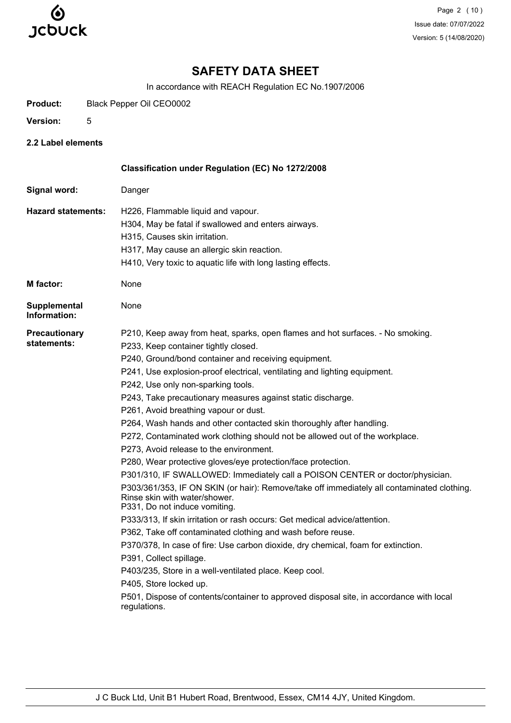

Page 2 (10) Issue date: 07/07/2022 Version: 5 (14/08/2020)

# **SAFETY DATA SHEET**

In accordance with REACH Regulation EC No.1907/2006

**Product:** Black Pepper Oil CEO0002

- **Version:** 5
- **2.2 Label elements**

|                                     | <b>Classification under Regulation (EC) No 1272/2008</b>                                                                                                     |
|-------------------------------------|--------------------------------------------------------------------------------------------------------------------------------------------------------------|
| Signal word:                        | Danger                                                                                                                                                       |
| <b>Hazard statements:</b>           | H226, Flammable liquid and vapour.                                                                                                                           |
|                                     | H304, May be fatal if swallowed and enters airways.                                                                                                          |
|                                     | H315, Causes skin irritation.                                                                                                                                |
|                                     | H317, May cause an allergic skin reaction.                                                                                                                   |
|                                     | H410, Very toxic to aquatic life with long lasting effects.                                                                                                  |
| <b>M</b> factor:                    | None                                                                                                                                                         |
| <b>Supplemental</b><br>Information: | None                                                                                                                                                         |
| <b>Precautionary</b>                | P210, Keep away from heat, sparks, open flames and hot surfaces. - No smoking.                                                                               |
| statements:                         | P233, Keep container tightly closed.                                                                                                                         |
|                                     | P240, Ground/bond container and receiving equipment.                                                                                                         |
|                                     | P241, Use explosion-proof electrical, ventilating and lighting equipment.                                                                                    |
|                                     | P242, Use only non-sparking tools.                                                                                                                           |
|                                     | P243, Take precautionary measures against static discharge.                                                                                                  |
|                                     | P261, Avoid breathing vapour or dust.                                                                                                                        |
|                                     | P264, Wash hands and other contacted skin thoroughly after handling.                                                                                         |
|                                     | P272, Contaminated work clothing should not be allowed out of the workplace.                                                                                 |
|                                     | P273, Avoid release to the environment.                                                                                                                      |
|                                     | P280, Wear protective gloves/eye protection/face protection.                                                                                                 |
|                                     | P301/310, IF SWALLOWED: Immediately call a POISON CENTER or doctor/physician.                                                                                |
|                                     | P303/361/353, IF ON SKIN (or hair): Remove/take off immediately all contaminated clothing.<br>Rinse skin with water/shower.<br>P331, Do not induce vomiting. |
|                                     | P333/313, If skin irritation or rash occurs: Get medical advice/attention.                                                                                   |
|                                     | P362, Take off contaminated clothing and wash before reuse.                                                                                                  |
|                                     | P370/378, In case of fire: Use carbon dioxide, dry chemical, foam for extinction.                                                                            |
|                                     | P391, Collect spillage.                                                                                                                                      |
|                                     | P403/235, Store in a well-ventilated place. Keep cool.                                                                                                       |
|                                     | P405, Store locked up.                                                                                                                                       |
|                                     | P501, Dispose of contents/container to approved disposal site, in accordance with local<br>regulations.                                                      |
|                                     |                                                                                                                                                              |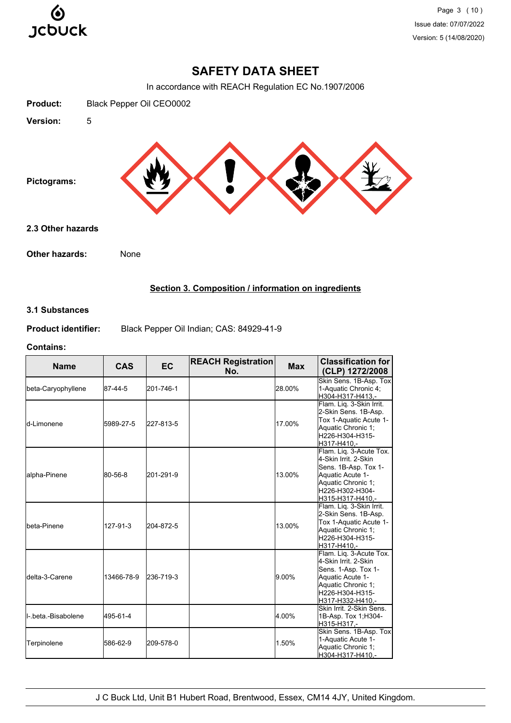

# **SAFETY DATA SHEET**

In accordance with REACH Regulation EC No.1907/2006



# **Section 3. Composition / information on ingredients**

## **3.1 Substances**

**Product identifier:** Black Pepper Oil Indian; CAS: 84929-41-9

#### **Contains:**

| <b>Name</b>             | <b>CAS</b> | EC.       | <b>REACH Registration</b><br>No. | <b>Max</b> | <b>Classification for</b><br>(CLP) 1272/2008                                                                                                             |
|-------------------------|------------|-----------|----------------------------------|------------|----------------------------------------------------------------------------------------------------------------------------------------------------------|
| beta-Caryophyllene      | 87-44-5    | 201-746-1 |                                  | 28.00%     | Skin Sens. 1B-Asp. Tox<br>1-Aquatic Chronic 4:<br>H304-H317-H413,-                                                                                       |
| <b>l</b> d-Limonene     | 5989-27-5  | 227-813-5 |                                  | 17.00%     | Flam. Lig. 3-Skin Irrit.<br>2-Skin Sens. 1B-Asp.<br>Tox 1-Aquatic Acute 1-<br>Aquatic Chronic 1;<br>H226-H304-H315-<br>H317-H410.-                       |
| alpha-Pinene            | 80-56-8    | 201-291-9 |                                  | 13.00%     | Flam. Lig. 3-Acute Tox.<br>4-Skin Irrit, 2-Skin<br>Sens. 1B-Asp. Tox 1-<br>Aquatic Acute 1-<br>Aquatic Chronic 1;<br>H226-H302-H304-<br>H315-H317-H410.- |
| lbeta-Pinene            | 127-91-3   | 204-872-5 |                                  | 13.00%     | Flam. Liq. 3-Skin Irrit.<br>2-Skin Sens. 1B-Asp.<br>Tox 1-Aquatic Acute 1-<br>Aquatic Chronic 1;<br>H226-H304-H315-<br>H317-H410.-                       |
| <b>I</b> delta-3-Carene | 13466-78-9 | 236-719-3 |                                  | 9.00%      | Flam. Lig. 3-Acute Tox.<br>4-Skin Irrit. 2-Skin<br>Sens. 1-Asp. Tox 1-<br>Aquatic Acute 1-<br>Aquatic Chronic 1;<br>H226-H304-H315-<br>H317-H332-H410.-  |
| ll-.beta.-Bisabolene    | 495-61-4   |           |                                  | 4.00%      | Skin Irrit, 2-Skin Sens.<br>1B-Asp. Tox 1; H304-<br>H315-H317,-                                                                                          |
| Terpinolene             | 586-62-9   | 209-578-0 |                                  | 1.50%      | Skin Sens. 1B-Asp. Tox<br>1-Aquatic Acute 1-<br>Aquatic Chronic 1;<br>H304-H317-H410,-                                                                   |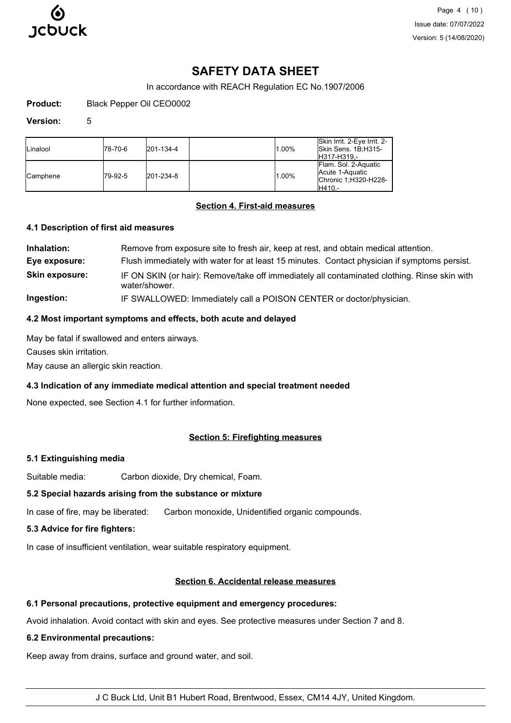

Page 4 (10) Issue date: 07/07/2022 Version: 5 (14/08/2020)

# **SAFETY DATA SHEET**

In accordance with REACH Regulation EC No.1907/2006

**Product:** Black Pepper Oil CEO0002

#### **Version:** 5

| <b>L</b> inalool  | 178-70-6 | $ 201 - 134 - 4 $ | 1.00% | Skin Irrit. 2-Eye Irrit. 2-<br>Skin Sens. 1B:H315-<br>IH317-H319.-         |
|-------------------|----------|-------------------|-------|----------------------------------------------------------------------------|
| <b>I</b> Camphene | l79-92-5 | $ 201 - 234 - 8 $ | 1.00% | Flam. Sol. 2-Aquatic<br>Acute 1-Aquatic<br>IChronic 1:H320-H228-<br>H410.- |

# **Section 4. First-aid measures**

### **4.1 Description of first aid measures**

| Inhalation:           | Remove from exposure site to fresh air, keep at rest, and obtain medical attention.                           |
|-----------------------|---------------------------------------------------------------------------------------------------------------|
| Eye exposure:         | Flush immediately with water for at least 15 minutes. Contact physician if symptoms persist.                  |
| <b>Skin exposure:</b> | IF ON SKIN (or hair): Remove/take off immediately all contaminated clothing. Rinse skin with<br>water/shower. |
| Ingestion:            | IF SWALLOWED: Immediately call a POISON CENTER or doctor/physician.                                           |

# **4.2 Most important symptoms and effects, both acute and delayed**

May be fatal if swallowed and enters airways.

Causes skin irritation.

May cause an allergic skin reaction.

# **4.3 Indication of any immediate medical attention and special treatment needed**

None expected, see Section 4.1 for further information.

# **Section 5: Firefighting measures**

# **5.1 Extinguishing media**

Suitable media: Carbon dioxide, Dry chemical, Foam.

# **5.2 Special hazards arising from the substance or mixture**

In case of fire, may be liberated: Carbon monoxide, Unidentified organic compounds.

#### **5.3 Advice for fire fighters:**

In case of insufficient ventilation, wear suitable respiratory equipment.

# **Section 6. Accidental release measures**

#### **6.1 Personal precautions, protective equipment and emergency procedures:**

Avoid inhalation. Avoid contact with skin and eyes. See protective measures under Section 7 and 8.

#### **6.2 Environmental precautions:**

Keep away from drains, surface and ground water, and soil.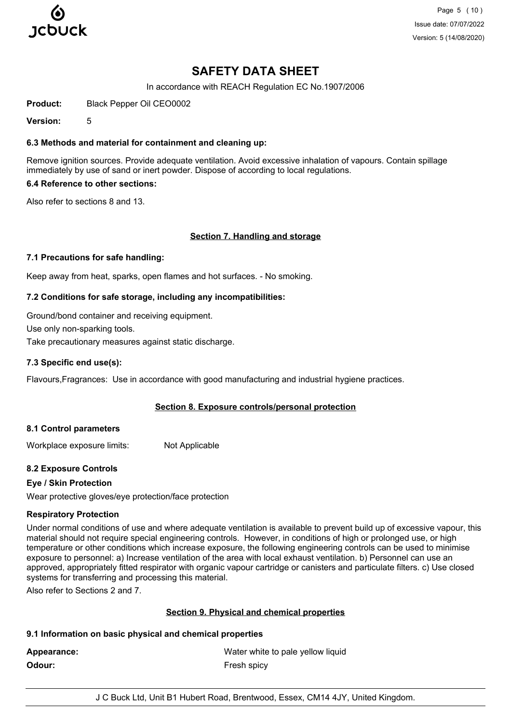

Page 5 (10) Issue date: 07/07/2022 Version: 5 (14/08/2020)

# **SAFETY DATA SHEET**

In accordance with REACH Regulation EC No.1907/2006

**Product:** Black Pepper Oil CEO0002

**Version:** 5

# **6.3 Methods and material for containment and cleaning up:**

Remove ignition sources. Provide adequate ventilation. Avoid excessive inhalation of vapours. Contain spillage immediately by use of sand or inert powder. Dispose of according to local regulations.

# **6.4 Reference to other sections:**

Also refer to sections 8 and 13.

### **Section 7. Handling and storage**

#### **7.1 Precautions for safe handling:**

Keep away from heat, sparks, open flames and hot surfaces. - No smoking.

### **7.2 Conditions for safe storage, including any incompatibilities:**

Ground/bond container and receiving equipment.

Use only non-sparking tools.

Take precautionary measures against static discharge.

#### **7.3 Specific end use(s):**

Flavours,Fragrances: Use in accordance with good manufacturing and industrial hygiene practices.

# **Section 8. Exposure controls/personal protection**

#### **8.1 Control parameters**

Workplace exposure limits: Not Applicable

# **8.2 Exposure Controls**

# **Eye / Skin Protection**

Wear protective gloves/eye protection/face protection

#### **Respiratory Protection**

Under normal conditions of use and where adequate ventilation is available to prevent build up of excessive vapour, this material should not require special engineering controls. However, in conditions of high or prolonged use, or high temperature or other conditions which increase exposure, the following engineering controls can be used to minimise exposure to personnel: a) Increase ventilation of the area with local exhaust ventilation. b) Personnel can use an approved, appropriately fitted respirator with organic vapour cartridge or canisters and particulate filters. c) Use closed systems for transferring and processing this material.

Also refer to Sections 2 and 7.

# **Section 9. Physical and chemical properties**

#### **9.1 Information on basic physical and chemical properties**

**Appearance:** Appearance: Appearance: Appearance:  $\frac{1}{2}$  Mater white to pale yellow liquid **Odour:** Fresh spicy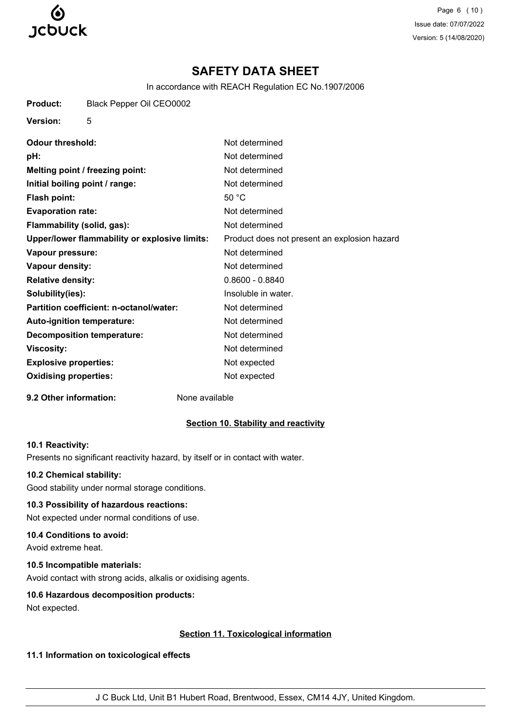

Page 6 (10) Issue date: 07/07/2022 Version: 5 (14/08/2020)

# **SAFETY DATA SHEET**

In accordance with REACH Regulation EC No.1907/2006

**Product:** Black Pepper Oil CEO0002

**Version:** 5

**Odour threshold:** Not determined **pH:** Not determined **Melting point / freezing point:** Not determined **Initial boiling point / range:** Not determined Flash point: 50 °C **Evaporation rate:** Not determined **Flammability (solid, gas):** Not determined **Upper/lower flammability or explosive limits:** Product does not present an explosion hazard **Vapour pressure:** Not determined **Vapour density:** Not determined **Relative density:** 0.8600 - 0.8840 **Solubility(ies):** Insoluble in water. **Partition coefficient: n-octanol/water:** Not determined **Auto-ignition temperature:** Not determined **Decomposition temperature:** Not determined **Viscosity:** Not determined **Explosive properties:** Not expected **Oxidising properties:** Not expected

#### **9.2 Other information:** None available

#### **Section 10. Stability and reactivity**

#### **10.1 Reactivity:**

Presents no significant reactivity hazard, by itself or in contact with water.

#### **10.2 Chemical stability:**

Good stability under normal storage conditions.

# **10.3 Possibility of hazardous reactions:**

Not expected under normal conditions of use.

#### **10.4 Conditions to avoid:**

Avoid extreme heat.

#### **10.5 Incompatible materials:**

Avoid contact with strong acids, alkalis or oxidising agents.

# **10.6 Hazardous decomposition products:**

Not expected.

#### **Section 11. Toxicological information**

#### **11.1 Information on toxicological effects**

J C Buck Ltd, Unit B1 Hubert Road, Brentwood, Essex, CM14 4JY, United Kingdom.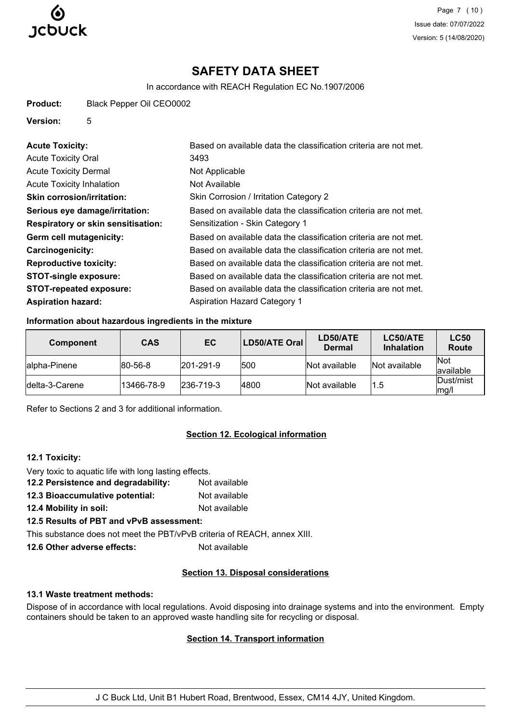

# **SAFETY DATA SHEET**

In accordance with REACH Regulation EC No.1907/2006

| Black Pepper Oil CEO0002<br>Product: |
|--------------------------------------|
|--------------------------------------|

## **Version:** 5

| <b>Acute Toxicity:</b>                    | Based on available data the classification criteria are not met. |
|-------------------------------------------|------------------------------------------------------------------|
| <b>Acute Toxicity Oral</b>                | 3493                                                             |
| <b>Acute Toxicity Dermal</b>              | Not Applicable                                                   |
| <b>Acute Toxicity Inhalation</b>          | Not Available                                                    |
| <b>Skin corrosion/irritation:</b>         | Skin Corrosion / Irritation Category 2                           |
| Serious eye damage/irritation:            | Based on available data the classification criteria are not met. |
| <b>Respiratory or skin sensitisation:</b> | Sensitization - Skin Category 1                                  |
| Germ cell mutagenicity:                   | Based on available data the classification criteria are not met. |
| <b>Carcinogenicity:</b>                   | Based on available data the classification criteria are not met. |
| <b>Reproductive toxicity:</b>             | Based on available data the classification criteria are not met. |
| <b>STOT-single exposure:</b>              | Based on available data the classification criteria are not met. |
| <b>STOT-repeated exposure:</b>            | Based on available data the classification criteria are not met. |
| <b>Aspiration hazard:</b>                 | <b>Aspiration Hazard Category 1</b>                              |

### **Information about hazardous ingredients in the mixture**

| <b>Component</b> | <b>CAS</b>      | EC                | <b>LD50/ATE Oral</b> | LD50/ATE<br>Dermal | LC50/ATE<br><b>Inhalation</b> | <b>LC50</b><br>Route     |
|------------------|-----------------|-------------------|----------------------|--------------------|-------------------------------|--------------------------|
| lalpha-Pinene    | $ 80 - 56 - 8 $ | $ 201 - 291 - 9 $ | 1500                 | Not available      | Not available                 | <b>Not</b><br>lavailable |
| Idelta-3-Carene  | 13466-78-9      | $ 236 - 719 - 3 $ | 4800                 | Not available      | 1.5                           | Dust/mist<br>mq/l        |

Refer to Sections 2 and 3 for additional information.

# **Section 12. Ecological information**

# **12.1 Toxicity:**

- Very toxic to aquatic life with long lasting effects.
- **12.2 Persistence and degradability:** Not available
- **12.3 Bioaccumulative potential:** Not available
- **12.4 Mobility in soil:** Not available

**12.5 Results of PBT and vPvB assessment:**

This substance does not meet the PBT/vPvB criteria of REACH, annex XIII.

**12.6 Other adverse effects:** Not available

# **Section 13. Disposal considerations**

# **13.1 Waste treatment methods:**

Dispose of in accordance with local regulations. Avoid disposing into drainage systems and into the environment. Empty containers should be taken to an approved waste handling site for recycling or disposal.

# **Section 14. Transport information**

J C Buck Ltd, Unit B1 Hubert Road, Brentwood, Essex, CM14 4JY, United Kingdom.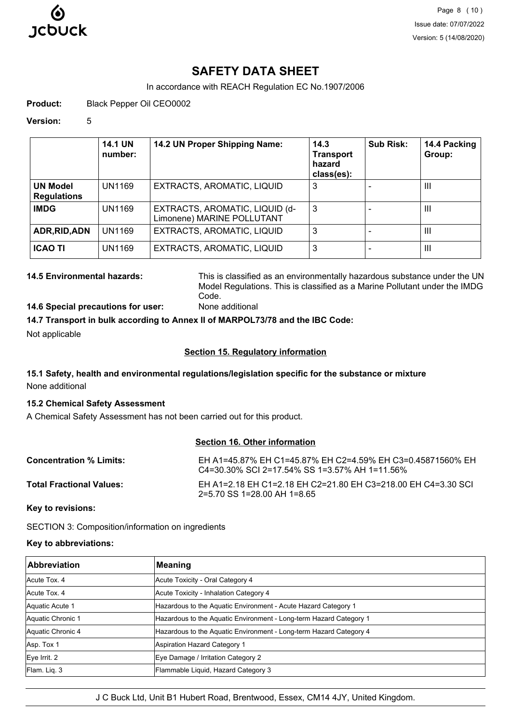

Page 8 (10) Issue date: 07/07/2022 Version: 5 (14/08/2020)

# **SAFETY DATA SHEET**

In accordance with REACH Regulation EC No.1907/2006

**Product:** Black Pepper Oil CEO0002

### **Version:** 5

|                                       | <b>14.1 UN</b><br>number: | 14.2 UN Proper Shipping Name:                                | 14.3<br><b>Transport</b><br>hazard<br>class(es): | Sub Risk: | 14.4 Packing<br>Group: |
|---------------------------------------|---------------------------|--------------------------------------------------------------|--------------------------------------------------|-----------|------------------------|
| <b>UN Model</b><br><b>Regulations</b> | <b>UN1169</b>             | EXTRACTS, AROMATIC, LIQUID                                   | 3                                                |           | Ш                      |
| <b>IMDG</b>                           | UN1169                    | EXTRACTS, AROMATIC, LIQUID (d-<br>Limonene) MARINE POLLUTANT | 3                                                |           | $\mathbf{III}$         |
| ADR, RID, ADN                         | <b>UN1169</b>             | EXTRACTS, AROMATIC, LIQUID                                   | 3                                                |           | $\mathbf{III}$         |
| <b>ICAO TI</b>                        | <b>UN1169</b>             | EXTRACTS, AROMATIC, LIQUID                                   | 3                                                |           | $\mathbf{III}$         |

**14.5 Environmental hazards:** This is classified as an environmentally hazardous substance under the UN Model Regulations. This is classified as a Marine Pollutant under the IMDG Code.

# **14.6 Special precautions for user:** None additional

**14.7 Transport in bulk according to Annex II of MARPOL73/78 and the IBC Code:**

Not applicable

# **Section 15. Regulatory information**

# **15.1 Safety, health and environmental regulations/legislation specific for the substance or mixture** None additional

# **15.2 Chemical Safety Assessment**

A Chemical Safety Assessment has not been carried out for this product.

# **Section 16. Other information**

| <b>Concentration % Limits:</b>  | EH A1=45.87% EH C1=45.87% EH C2=4.59% EH C3=0.45871560% EH<br>C4=30.30% SCI 2=17.54% SS 1=3.57% AH 1=11.56% |
|---------------------------------|-------------------------------------------------------------------------------------------------------------|
| <b>Total Fractional Values:</b> | EH A1=2.18 EH C1=2.18 EH C2=21.80 EH C3=218.00 EH C4=3.30 SCL<br>2=5.70 SS 1=28.00 AH 1=8.65                |

**Key to revisions:**

SECTION 3: Composition/information on ingredients

# **Key to abbreviations:**

| <b>Abbreviation</b> | Meaning                                                            |
|---------------------|--------------------------------------------------------------------|
| Acute Tox. 4        | Acute Toxicity - Oral Category 4                                   |
| Acute Tox. 4        | Acute Toxicity - Inhalation Category 4                             |
| Aquatic Acute 1     | Hazardous to the Aquatic Environment - Acute Hazard Category 1     |
| Aquatic Chronic 1   | Hazardous to the Aquatic Environment - Long-term Hazard Category 1 |
| Aquatic Chronic 4   | Hazardous to the Aquatic Environment - Long-term Hazard Category 4 |
| Asp. Tox 1          | Aspiration Hazard Category 1                                       |
| Eye Irrit. 2        | Eye Damage / Irritation Category 2                                 |
| Flam. Lig. 3        | Flammable Liquid, Hazard Category 3                                |

J C Buck Ltd, Unit B1 Hubert Road, Brentwood, Essex, CM14 4JY, United Kingdom.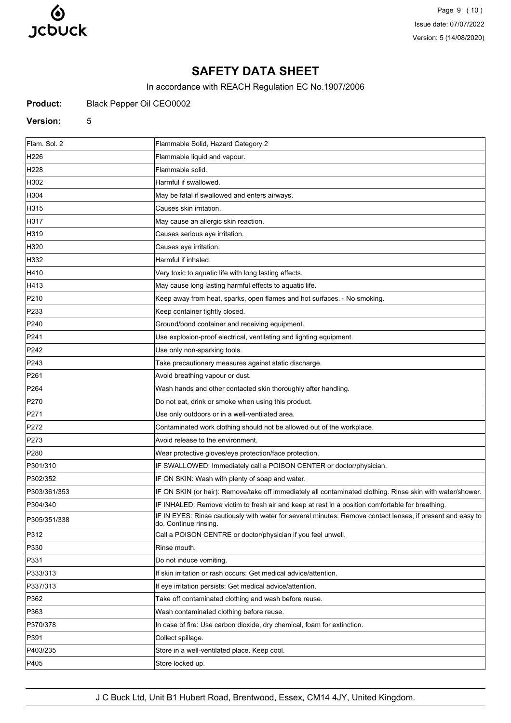

Page 9 (10) Issue date: 07/07/2022 Version: 5 (14/08/2020)

# **SAFETY DATA SHEET**

In accordance with REACH Regulation EC No.1907/2006

**Product:** Black Pepper Oil CEO0002

## **Version:** 5

| Flam. Sol. 2     | Flammable Solid, Hazard Category 2                                                                                                  |
|------------------|-------------------------------------------------------------------------------------------------------------------------------------|
| H226             | Flammable liquid and vapour.                                                                                                        |
| H <sub>228</sub> | Flammable solid.                                                                                                                    |
| H302             | Harmful if swallowed.                                                                                                               |
| H304             | May be fatal if swallowed and enters airways.                                                                                       |
| H315             | Causes skin irritation.                                                                                                             |
| H317             | May cause an allergic skin reaction.                                                                                                |
| H319             | Causes serious eye irritation.                                                                                                      |
| H320             | Causes eye irritation.                                                                                                              |
| H332             | Harmful if inhaled.                                                                                                                 |
| H410             | Very toxic to aquatic life with long lasting effects.                                                                               |
| H413             | May cause long lasting harmful effects to aquatic life.                                                                             |
| P210             | Keep away from heat, sparks, open flames and hot surfaces. - No smoking.                                                            |
| P233             | Keep container tightly closed.                                                                                                      |
| P240             | Ground/bond container and receiving equipment.                                                                                      |
| P241             | Use explosion-proof electrical, ventilating and lighting equipment.                                                                 |
| P242             | Use only non-sparking tools.                                                                                                        |
| P243             | Take precautionary measures against static discharge.                                                                               |
| P261             | Avoid breathing vapour or dust.                                                                                                     |
| P <sub>264</sub> | Wash hands and other contacted skin thoroughly after handling.                                                                      |
| P270             | Do not eat, drink or smoke when using this product.                                                                                 |
| P271             | Use only outdoors or in a well-ventilated area.                                                                                     |
| P272             | Contaminated work clothing should not be allowed out of the workplace.                                                              |
| P273             | Avoid release to the environment.                                                                                                   |
| P280             | Wear protective gloves/eye protection/face protection.                                                                              |
| P301/310         | IF SWALLOWED: Immediately call a POISON CENTER or doctor/physician.                                                                 |
| P302/352         | IF ON SKIN: Wash with plenty of soap and water.                                                                                     |
| P303/361/353     | IF ON SKIN (or hair): Remove/take off immediately all contaminated clothing. Rinse skin with water/shower.                          |
| P304/340         | IF INHALED: Remove victim to fresh air and keep at rest in a position comfortable for breathing                                     |
| P305/351/338     | IF IN EYES: Rinse cautiously with water for several minutes. Remove contact lenses, if present and easy to<br>do. Continue rinsing. |
| P312             | Call a POISON CENTRE or doctor/physician if you feel unwell.                                                                        |
| P330             | Rinse mouth.                                                                                                                        |
| P331             | Do not induce vomiting.                                                                                                             |
| P333/313         | If skin irritation or rash occurs: Get medical advice/attention.                                                                    |
| P337/313         | If eye irritation persists: Get medical advice/attention.                                                                           |
| P362             | Take off contaminated clothing and wash before reuse.                                                                               |
| P363             | Wash contaminated clothing before reuse.                                                                                            |
| P370/378         | In case of fire: Use carbon dioxide, dry chemical, foam for extinction.                                                             |
| P391             | Collect spillage.                                                                                                                   |
| P403/235         | Store in a well-ventilated place. Keep cool.                                                                                        |
| P405             | Store locked up.                                                                                                                    |